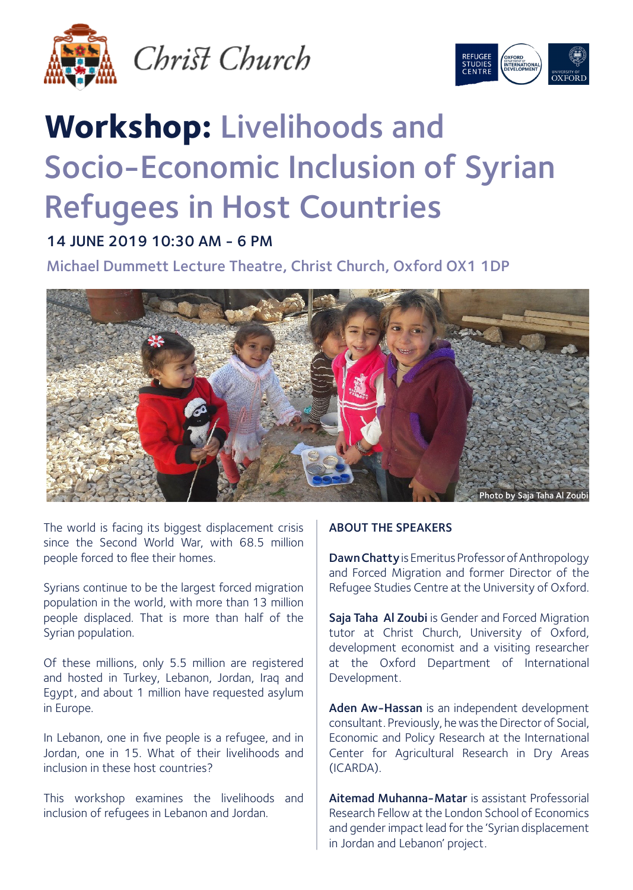

Christ Church



## **Workshop:** Livelihoods and Socio-Economic Inclusion of Syrian Refugees in Host Countries

## 14 JUNE 2019 10:30 AM - 6 PM

Michael Dummett Lecture Theatre, Christ Church, Oxford OX1 1DP



The world is facing its biggest displacement crisis since the Second World War, with 68.5 million people forced to flee their homes.

Syrians continue to be the largest forced migration population in the world, with more than 13 million people displaced. That is more than half of the Syrian population.

Of these millions, only 5.5 million are registered and hosted in Turkey, Lebanon, Jordan, Iraq and Egypt, and about 1 million have requested asylum in Europe.

In Lebanon, one in five people is a refugee, and in Jordan, one in 15. What of their livelihoods and inclusion in these host countries?

This workshop examines the livelihoods and inclusion of refugees in Lebanon and Jordan.

## ABOUT THE SPEAKERS

Dawn Chatty is Emeritus Professor of Anthropology and Forced Migration and former Director of the Refugee Studies Centre at the University of Oxford.

Saja Taha Al Zoubi is Gender and Forced Migration tutor at Christ Church, University of Oxford, development economist and a visiting researcher at the Oxford Department of International Development.

Aden Aw-Hassan is an independent development consultant. Previously, he was the Director of Social, Economic and Policy Research at the International Center for Agricultural Research in Dry Areas (ICARDA).

Aitemad Muhanna-Matar is assistant Professorial Research Fellow at the London School of Economics and gender impact lead for the 'Syrian displacement in Jordan and Lebanon' project.